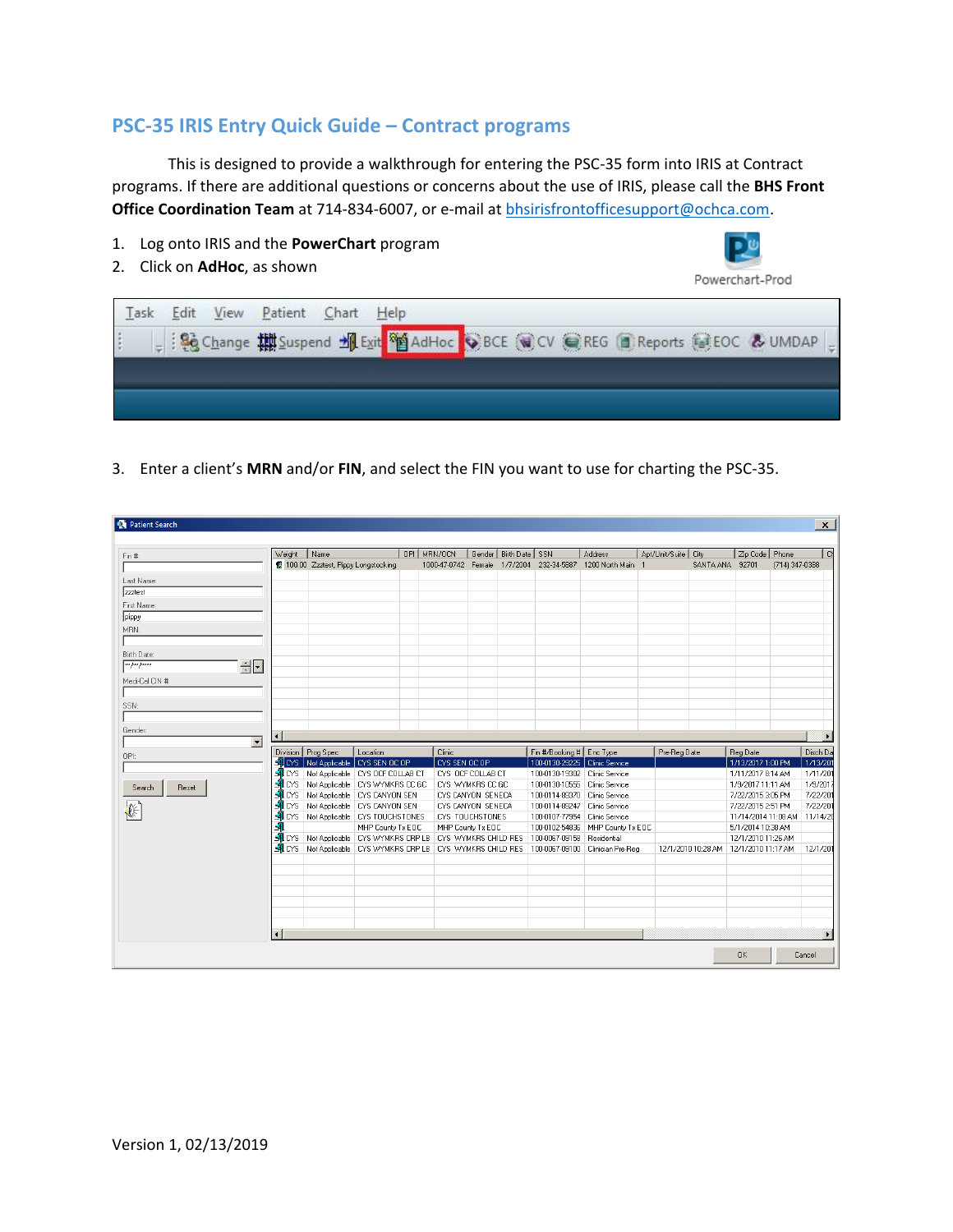## **PSC-35 IRIS Entry Quick Guide – Contract programs**

This is designed to provide a walkthrough for entering the PSC-35 form into IRIS at Contract programs. If there are additional questions or concerns about the use of IRIS, please call the **BHS Front Office Coordination Team** at 714-834-6007, or e-mail at [bhsirisfrontofficesupport@ochca.com.](mailto:bhsirisfrontofficesupport@ochca.com)

- 1. Log onto IRIS and the **PowerChart** program
- 2. Click on **AdHoc**, as shown



3. Enter a client's **MRN** and/or **FIN**, and select the FIN you want to use for charting the PSC-35.

| <b>D</b> Patient Search             |                        |                                                             |                   |             |                              |                           |                               |                                                                                                       |                       |                    |                                |                | $\mathsf{x}$ |
|-------------------------------------|------------------------|-------------------------------------------------------------|-------------------|-------------|------------------------------|---------------------------|-------------------------------|-------------------------------------------------------------------------------------------------------|-----------------------|--------------------|--------------------------------|----------------|--------------|
|                                     | Weight                 | Name                                                        |                   | OPI MRN/OCN |                              | Gender   Birth Date   SSN |                               | Address                                                                                               | Apt/Unit/Suite   City |                    |                                |                | l ci         |
| Fin #:                              |                        | 100.00 Zzztest, Pippy Longstocking                          |                   |             | 1000-47-0742 Female 1/7/2004 |                           | 232-34-5887                   | 1200 North Main 1                                                                                     |                       | SANTA ANA          | Zip Code   Phone<br>92701      | (714) 347-0388 |              |
|                                     |                        |                                                             |                   |             |                              |                           |                               |                                                                                                       |                       |                    |                                |                |              |
| Last Name:                          |                        |                                                             |                   |             |                              |                           |                               |                                                                                                       |                       |                    |                                |                |              |
| zzztest                             |                        |                                                             |                   |             |                              |                           |                               |                                                                                                       |                       |                    |                                |                |              |
| First Name:                         |                        |                                                             |                   |             |                              |                           |                               |                                                                                                       |                       |                    |                                |                |              |
| pippy                               |                        |                                                             |                   |             |                              |                           |                               |                                                                                                       |                       |                    |                                |                |              |
| MBN:                                |                        |                                                             |                   |             |                              |                           |                               |                                                                                                       |                       |                    |                                |                |              |
|                                     |                        |                                                             |                   |             |                              |                           |                               |                                                                                                       |                       |                    |                                |                |              |
| Birth Date:                         |                        |                                                             |                   |             |                              |                           |                               |                                                                                                       |                       |                    |                                |                |              |
| $\sqrt{\frac{1}{2}}$<br>$\div \Box$ |                        |                                                             |                   |             |                              |                           |                               |                                                                                                       |                       |                    |                                |                |              |
| Medi-Cal CIN #:                     |                        |                                                             |                   |             |                              |                           |                               |                                                                                                       |                       |                    |                                |                |              |
|                                     |                        |                                                             |                   |             |                              |                           |                               |                                                                                                       |                       |                    |                                |                |              |
| SSN:                                |                        |                                                             |                   |             |                              |                           |                               |                                                                                                       |                       |                    |                                |                |              |
|                                     |                        |                                                             |                   |             |                              |                           |                               |                                                                                                       |                       |                    |                                |                |              |
|                                     |                        |                                                             |                   |             |                              |                           |                               |                                                                                                       |                       |                    |                                |                |              |
| Gender:<br>$\overline{\phantom{a}}$ | $\left  \cdot \right $ |                                                             |                   |             |                              |                           |                               |                                                                                                       |                       |                    |                                |                |              |
|                                     |                        | Division   Prog Spec                                        | Location          |             | Clinic                       |                           | Fin #/Booking # Enc Type      |                                                                                                       | Pre-Reg Date          |                    | Reg Date                       |                | Disch Da     |
| OPI:                                |                        | SLOYS   Not Applicable   CYS SEN OC OP                      |                   |             | CYS SEN OC OP                |                           | 100-0130-29225 Clinic Service |                                                                                                       |                       |                    | 1/13/2017 1:00 PM              |                | 1/13/201     |
|                                     |                        | NICYS Not Applicable   CYS OCF COLLAB CT                    |                   |             | CYS OCF COLLAB CT            |                           | 100-0130-19302 Clinic Service |                                                                                                       |                       |                    | 1/11/2017 8:14 AM              |                | 1/11/201     |
| Reset<br>Search                     | <b>A</b> LCYS          | Not Applicable   CYS WYMKRS CC GC                           |                   |             | CYS WYMKRS CC GC             |                           | 100-0130-10555 Clinic Service |                                                                                                       |                       |                    | 1/9/2017 11:11 AM              |                | 1/9/201      |
|                                     | $\blacksquare$ LYS     | Not Applicable   CYS CANYON SEN                             |                   |             | CYS CANYON SENECA            |                           | 100-0114-89370 Clinic Service |                                                                                                       |                       |                    | 7/22/2015 3:05 PM              |                | 7/22/20      |
|                                     | $\blacksquare$ CYS     | Not Applicable   CYS CANYON SEN                             |                   |             | CYS CANYON SENECA            |                           | 100-0114-89247 Clinic Service |                                                                                                       |                       |                    | 7/22/2015 2:51 PM              |                | 7/22/201     |
|                                     |                        | <b>ALCYS</b> Not Applicable CYS TOUCHSTONES                 |                   |             | CYS TOUCHSTONES              |                           | 100-0107-77954 Clinic Service |                                                                                                       |                       |                    | 11/14/2014 11:08 AM   11/14/20 |                |              |
|                                     |                        |                                                             | MHP County Tx EOC |             | MHP County Tx EOC            |                           | 100-0102-54836                | MHP County Tx EOC                                                                                     |                       |                    | 5/1/2014 10:38 AM              |                |              |
|                                     |                        | MLCYS Not Applicable CYS WYMKRS CRP LB CYS WYMKRS CHILD RES |                   |             |                              |                           | 100-0067-09158 Residential    |                                                                                                       |                       |                    | 12/1/2010 11:26 AM             |                |              |
|                                     |                        |                                                             |                   |             |                              |                           |                               | 乳CYS   Not Applicable   CYS WYMKRS CRP LB   CYS WYMKRS CHILD RES   100-0067-09100   Clinician Pre-Reg |                       | 12/1/2010 10:28 AM | 12/1/2010 11:17 AM             |                | 12/1/201     |
|                                     |                        |                                                             |                   |             |                              |                           |                               |                                                                                                       |                       |                    |                                |                |              |
|                                     |                        |                                                             |                   |             |                              |                           |                               |                                                                                                       |                       |                    |                                |                |              |
|                                     |                        |                                                             |                   |             |                              |                           |                               |                                                                                                       |                       |                    |                                |                |              |
|                                     |                        |                                                             |                   |             |                              |                           |                               |                                                                                                       |                       |                    |                                |                |              |
|                                     |                        |                                                             |                   |             |                              |                           |                               |                                                                                                       |                       |                    |                                |                |              |
|                                     |                        |                                                             |                   |             |                              |                           |                               |                                                                                                       |                       |                    |                                |                |              |
|                                     |                        |                                                             |                   |             |                              |                           |                               |                                                                                                       |                       |                    |                                |                |              |
|                                     | $\blacksquare$         |                                                             |                   |             |                              |                           |                               |                                                                                                       |                       |                    |                                |                |              |
|                                     |                        |                                                             |                   |             |                              |                           |                               |                                                                                                       |                       |                    | 0K                             |                | Cancel       |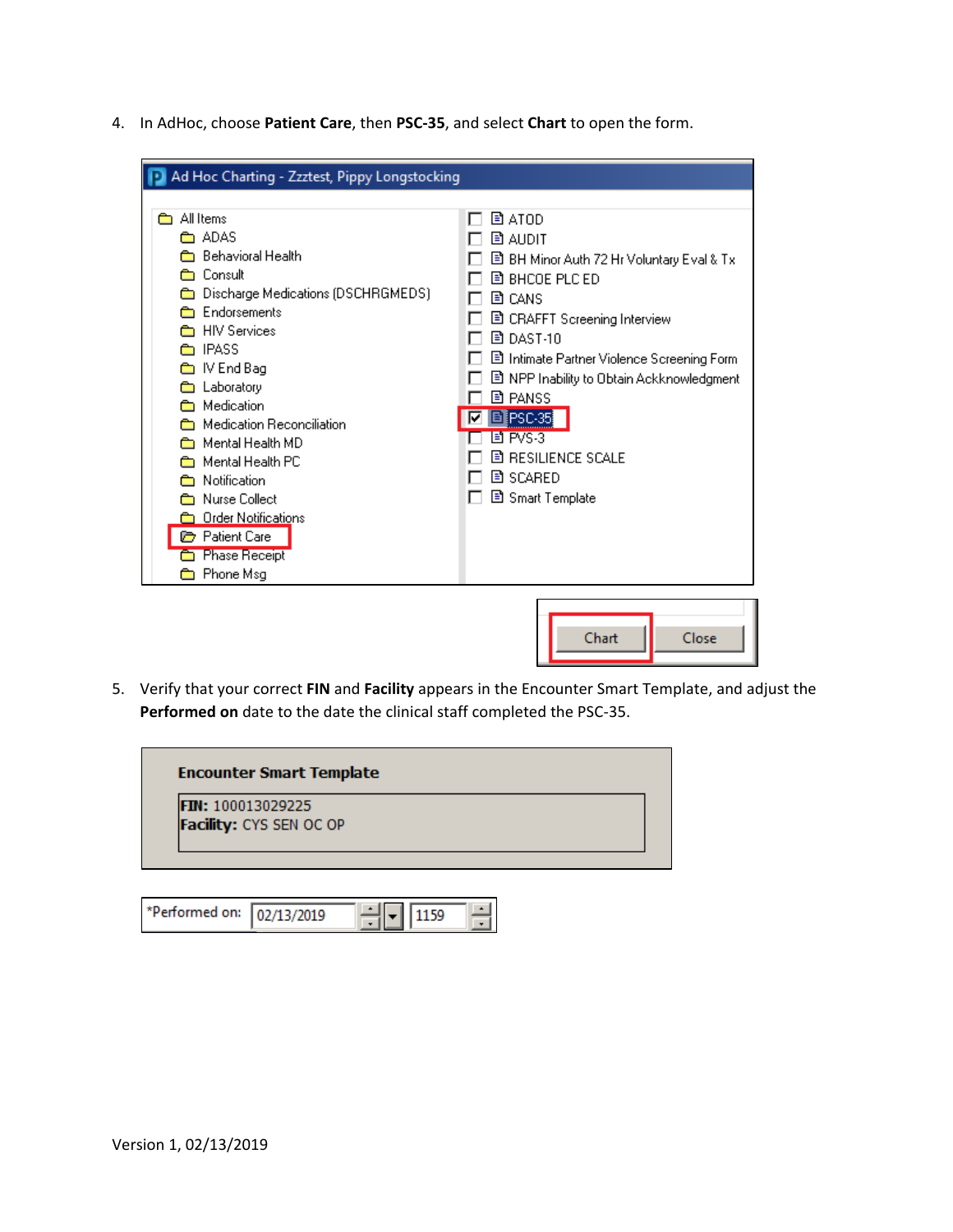4. In AdHoc, choose **Patient Care**, then **PSC-35**, and select **Chart** to open the form.



5. Verify that your correct **FIN** and **Facility** appears in the Encounter Smart Template, and adjust the **Performed on** date to the date the clinical staff completed the PSC-35.

| FIN: 100013029225       |  |  |
|-------------------------|--|--|
| Facility: CYS SEN OC OP |  |  |

| *Performed on: 02/13/2019 |  |  |  |  |
|---------------------------|--|--|--|--|
|---------------------------|--|--|--|--|